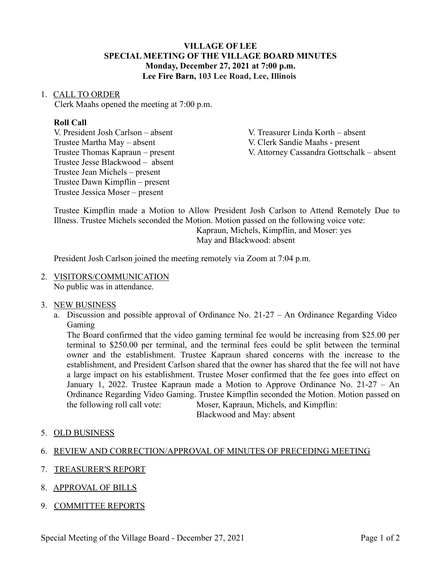### **VILLAGE OF LEE SPECIAL MEETING OF THE VILLAGE BOARD MINUTES Monday, December 27, 2021 at 7:00 p.m. Lee Fire Barn, 103 Lee Road, Lee, Illinois**

#### 1. CALL TO ORDER

Clerk Maahs opened the meeting at 7:00 p.m.

#### **Roll Call**

Trustee Martha May – absent V. Clerk Sandie Maahs - present Trustee Jesse Blackwood – absent Trustee Jean Michels – present Trustee Dawn Kimpflin – present Trustee Jessica Moser – present

V. President Josh Carlson – absent V. Treasurer Linda Korth – absent Trustee Thomas Kapraun – present V. Attorney Cassandra Gottschalk – absent

Trustee Kimpflin made a Motion to Allow President Josh Carlson to Attend Remotely Due to Illness. Trustee Michels seconded the Motion. Motion passed on the following voice vote: Kapraun, Michels, Kimpflin, and Moser: yes May and Blackwood: absent

President Josh Carlson joined the meeting remotely via Zoom at 7:04 p.m.

2. VISITORS/COMMUNICATION No public was in attendance.

### 3. NEW BUSINESS

a. Discussion and possible approval of Ordinance No. 21-27 – An Ordinance Regarding Video Gaming

The Board confirmed that the video gaming terminal fee would be increasing from \$25.00 per terminal to \$250.00 per terminal, and the terminal fees could be split between the terminal owner and the establishment. Trustee Kapraun shared concerns with the increase to the establishment, and President Carlson shared that the owner has shared that the fee will not have a large impact on his establishment. Trustee Moser confirmed that the fee goes into effect on January 1, 2022. Trustee Kapraun made a Motion to Approve Ordinance No. 21-27 – An Ordinance Regarding Video Gaming. Trustee Kimpflin seconded the Motion. Motion passed on the following roll call vote: Moser, Kapraun, Michels, and Kimpflin:

Blackwood and May: absent

5. OLD BUSINESS

### 6. REVIEW AND CORRECTION/APPROVAL OF MINUTES OF PRECEDING MEETING

- 7. TREASURER'S REPORT
- 8. APPROVAL OF BILLS
- 9. COMMITTEE REPORTS